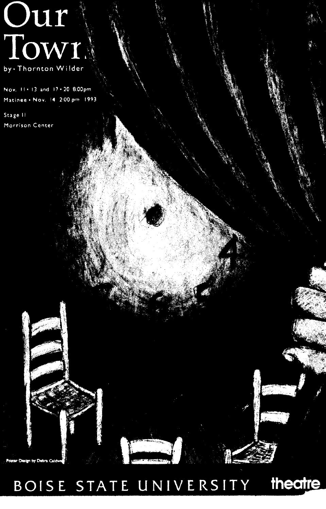# Our<sup>1</sup> by · Thornton Wilder

Nov. 11+13 and 17+20 8:00pm Matinee . Nov. 14 2:00 pm 1993

Stage II Morrison Center

ter Design by Debra Cald

BOISE STATE UNIVERSITY theatre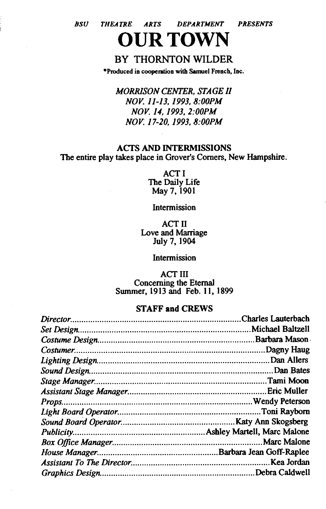*BSU THEATRE ARTS DEPARTMENT PRESENTS*  **OUR TOWN** 

### BY THORNTON WILDER

•Produced in cooperation with Samuel French, Inc.

*MORRISON CENTER, STAGE II NOV. JJ-13, 1993, 8:00PM NOV. 14, 1993, 2:00PM NOV. 17-20, 1993, 8:00PM* 

#### ACTS AND INTERMISSIONS The entire play takes place in Grover's Comers, New Hampshire.

ACTI The Daily Life May7, 1901

Intermission

ACT II Love and Marriage July 7, 1904

Intermission

ACT III Concerning the Eternal Summer, 1913 and Feb. 11, 1899

#### STAFF and CREWS

| Charles Lauterbach. |
|---------------------|
| Michael Baltzell    |
| Barbara Mason       |
| Dagny Haug          |
| .Dan Allers         |
|                     |
|                     |
| Eric Muller         |
|                     |
| .Toni Rayborn       |
|                     |
|                     |
| Marc Malone         |
|                     |
| .Kea Jordan         |
| Debra Caldwell      |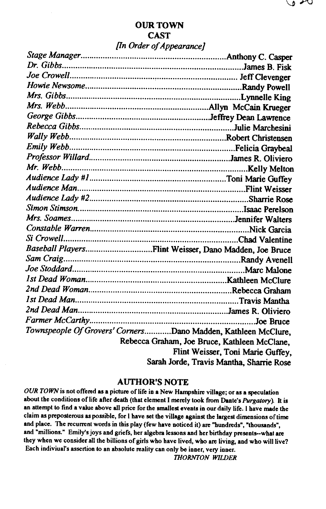| Baseball PlayersFlint Weisser, Dano Madden, Joe Bruce         |                                              |
|---------------------------------------------------------------|----------------------------------------------|
|                                                               |                                              |
|                                                               |                                              |
|                                                               |                                              |
|                                                               |                                              |
|                                                               |                                              |
|                                                               |                                              |
|                                                               | Joe Bruce                                    |
| Townspeople Of Grovers' CornersDano Madden, Kathleen McClure, |                                              |
|                                                               | Rebecca Graham, Joe Bruce, Kathleen McClane, |
|                                                               | Flint Weisser, Toni Marie Guffey,            |
|                                                               | Sarah Jorde, Travis Mantha, Sharrie Rose     |

#### AUTHOR'S NOTE

OUR TOWN is not offered as a picture of life in a New Hampshire village; or as a speculation about the conditions oflife after death (that element I merely took from Dante's *Purgatory).* It is an attempt to find a value above all price for the smallest events in our daily life. I have made the claim as preposterous as possible, for I have set the village against the largest dimensions of time and place. The recurrent words in this play (few have noticed it) are "hundreds", "thousands", and "millions." Emily's joys and griefs, her algebra lessons and her birthday presents--what are they when we consider all the billions of girls who have lived, who are living, and who will live? Each indiviual's assertion to an absolute reality can only be inner, very inner.

*THORNTON WILDER*